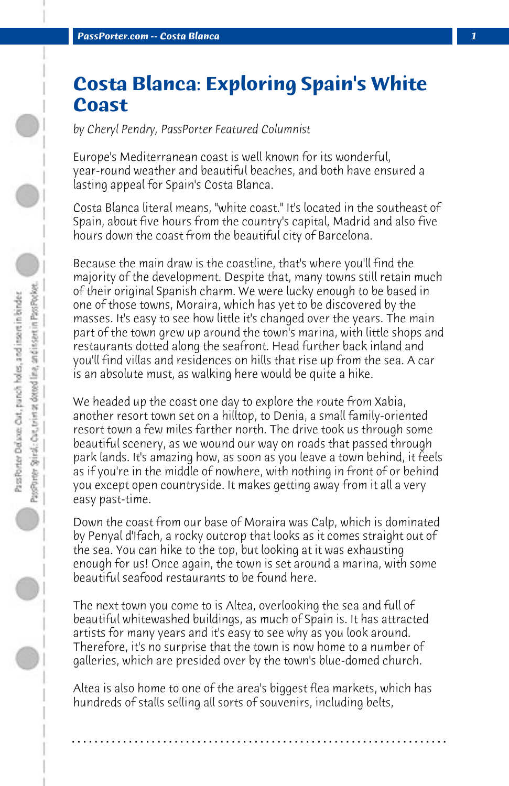## **Costa Blanca: Exploring Spain's White Coast**

*by Cheryl Pendry, PassPorter Featured Columnist*

Europe's Mediterranean coast is well known for its wonderful, year-round weather and beautiful beaches, and both have ensured a lasting appeal for Spain's Costa Blanca.

Costa Blanca literal means, "white coast." It's located in the southeast of Spain, about five hours from the country's capital, Madrid and also five hours down the coast from the beautiful city of Barcelona.

Because the main draw is the coastline, that's where you'll find the majority of the development. Despite that, many towns still retain much of their original Spanish charm. We were lucky enough to be based in one of those towns, Moraira, which has yet to be discovered by the masses. It's easy to see how little it's changed over the years. The main part of the town grew up around the town's marina, with little shops and restaurants dotted along the seafront. Head further back inland and you'll find villas and residences on hills that rise up from the sea. A car is an absolute must, as walking here would be quite a hike.

We headed up the coast one day to explore the route from Xabia, another resort town set on a hilltop, to Denia, a small family-oriented resort town a few miles farther north. The drive took us through some beautiful scenery, as we wound our way on roads that passed through park lands. It's amazing how, as soon as you leave a town behind, it feels as if you're in the middle of nowhere, with nothing in front of or behind you except open countryside. It makes getting away from it all a very easy past-time.

Down the coast from our base of Moraira was Calp, which is dominated by Penyal d'Ifach, a rocky outcrop that looks as it comes straight out of the sea. You can hike to the top, but looking at it was exhausting enough for us! Once again, the town is set around a marina, with some beautiful seafood restaurants to be found here.

The next town you come to is Altea, overlooking the sea and full of beautiful whitewashed buildings, as much of Spain is. It has attracted artists for many years and it's easy to see why as you look around. Therefore, it's no surprise that the town is now home to a number of galleries, which are presided over by the town's blue-domed church.

Altea is also home to one of the area's biggest flea markets, which has hundreds of stalls selling all sorts of souvenirs, including belts,

**. . . . . . . . . . . . . . . . . . . . . . . . . . . . . . . . . . . . . . . . . . . . . . . . . . . . . . . . . . . . . . . . . .**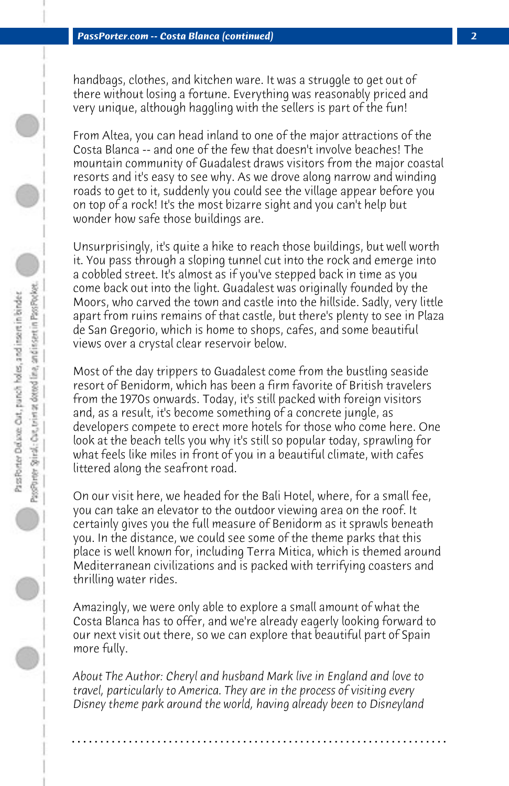handbags, clothes, and kitchen ware. It was a struggle to get out of there without losing a fortune. Everything was reasonably priced and very unique, although haggling with the sellers is part of the fun!

From Altea, you can head inland to one of the major attractions of the Costa Blanca -- and one of the few that doesn't involve beaches! The mountain community of Guadalest draws visitors from the major coastal resorts and it's easy to see why. As we drove along narrow and winding roads to get to it, suddenly you could see the village appear before you on top of a rock! It's the most bizarre sight and you can't help but wonder how safe those buildings are.

Unsurprisingly, it's quite a hike to reach those buildings, but well worth it. You pass through a sloping tunnel cut into the rock and emerge into a cobbled street. It's almost as if you've stepped back in time as you come back out into the light. Guadalest was originally founded by the Moors, who carved the town and castle into the hillside. Sadly, very little apart from ruins remains of that castle, but there's plenty to see in Plaza de San Gregorio, which is home to shops, cafes, and some beautiful views over a crystal clear reservoir below.

Most of the day trippers to Guadalest come from the bustling seaside resort of Benidorm, which has been a firm favorite of British travelers from the 1970s onwards. Today, it's still packed with foreign visitors and, as a result, it's become something of a concrete jungle, as developers compete to erect more hotels for those who come here. One look at the beach tells you why it's still so popular today, sprawling for what feels like miles in front of you in a beautiful climate, with cafes littered along the seafront road.

On our visit here, we headed for the Bali Hotel, where, for a small fee, you can take an elevator to the outdoor viewing area on the roof. It certainly gives you the full measure of Benidorm as it sprawls beneath you. In the distance, we could see some of the theme parks that this place is well known for, including Terra Mitica, which is themed around Mediterranean civilizations and is packed with terrifying coasters and thrilling water rides.

Amazingly, we were only able to explore a small amount of what the Costa Blanca has to offer, and we're already eagerly looking forward to our next visit out there, so we can explore that beautiful part of Spain more fully.

*About The Author: Cheryl and husband Mark live in England and love to travel, particularly to America. They are in the process of visiting every Disney theme park around the world, having already been to Disneyland*

**. . . . . . . . . . . . . . . . . . . . . . . . . . . . . . . . . . . . . . . . . . . . . . . . . . . . . . . . . . . . . . . . . .**